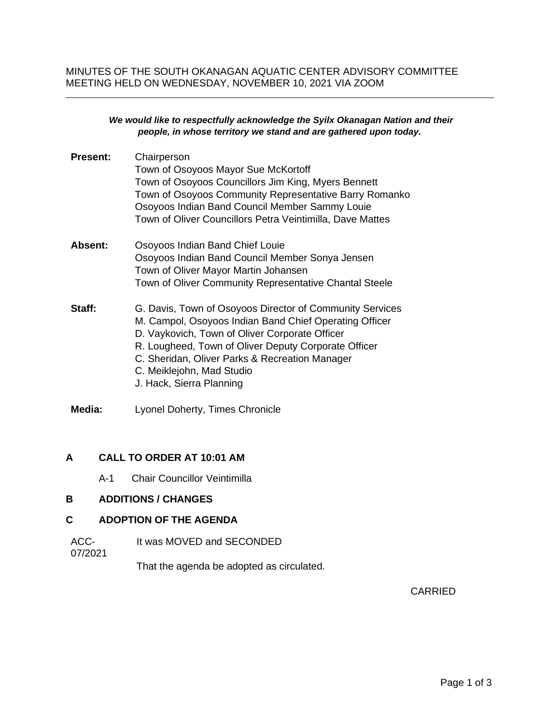#### *We would like to respectfully acknowledge the Syilx Okanagan Nation and their people, in whose territory we stand and are gathered upon today.*

| <b>Present:</b> | Chairperson<br>Town of Osoyoos Mayor Sue McKortoff<br>Town of Osoyoos Councillors Jim King, Myers Bennett<br>Town of Osoyoos Community Representative Barry Romanko<br>Osoyoos Indian Band Council Member Sammy Louie<br>Town of Oliver Councillors Petra Veintimilla, Dave Mattes                                                      |
|-----------------|-----------------------------------------------------------------------------------------------------------------------------------------------------------------------------------------------------------------------------------------------------------------------------------------------------------------------------------------|
| Absent:         | Osoyoos Indian Band Chief Louie<br>Osoyoos Indian Band Council Member Sonya Jensen<br>Town of Oliver Mayor Martin Johansen<br>Town of Oliver Community Representative Chantal Steele                                                                                                                                                    |
| Staff:          | G. Davis, Town of Osoyoos Director of Community Services<br>M. Campol, Osoyoos Indian Band Chief Operating Officer<br>D. Vaykovich, Town of Oliver Corporate Officer<br>R. Lougheed, Town of Oliver Deputy Corporate Officer<br>C. Sheridan, Oliver Parks & Recreation Manager<br>C. Meiklejohn, Mad Studio<br>J. Hack, Sierra Planning |
| Media:          | Lyonel Doherty, Times Chronicle                                                                                                                                                                                                                                                                                                         |

# **A CALL TO ORDER AT 10:01 AM**

A-1 Chair Councillor Veintimilla

# **B ADDITIONS / CHANGES**

### **C ADOPTION OF THE AGENDA**

ACC-It was MOVED and SECONDED

07/2021

That the agenda be adopted as circulated.

CARRIED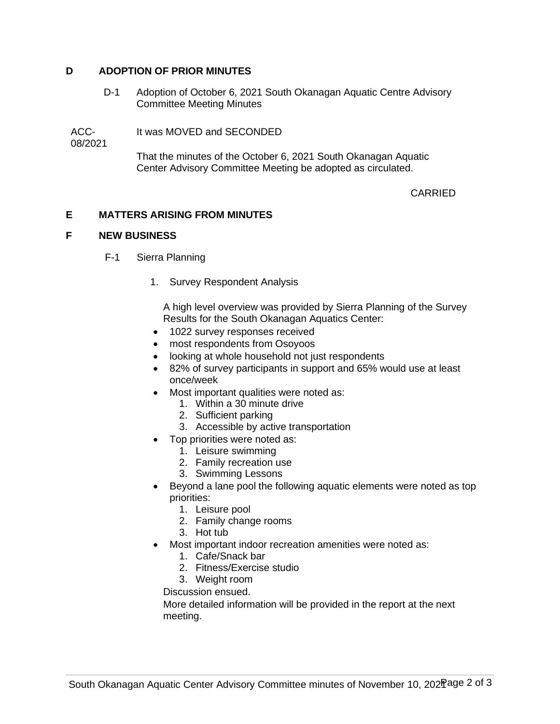## **D ADOPTION OF PRIOR MINUTES**

D-1 Adoption of October 6, 2021 South Okanagan Aquatic Centre Advisory Committee Meeting Minutes

ACC-It was MOVED and SECONDED

08/2021

That the minutes of the October 6, 2021 South Okanagan Aquatic Center Advisory Committee Meeting be adopted as circulated.

## CARRIED

## **E MATTERS ARISING FROM MINUTES**

### **F NEW BUSINESS**

- F-1 Sierra Planning
	- 1. Survey Respondent Analysis

A high level overview was provided by Sierra Planning of the Survey Results for the South Okanagan Aquatics Center:

- 1022 survey responses received
- most respondents from Osoyoos
- looking at whole household not just respondents
- 82% of survey participants in support and 65% would use at least once/week
- Most important qualities were noted as:
	- 1. Within a 30 minute drive
	- 2. Sufficient parking
	- 3. Accessible by active transportation
- Top priorities were noted as:
	- 1. Leisure swimming
	- 2. Family recreation use
	- 3. Swimming Lessons
- Beyond a lane pool the following aquatic elements were noted as top priorities:
	- 1. Leisure pool
	- 2. Family change rooms
	- 3. Hot tub
- Most important indoor recreation amenities were noted as:
	- 1. Cafe/Snack bar
	- 2. Fitness/Exercise studio
	- 3. Weight room

Discussion ensued.

More detailed information will be provided in the report at the next meeting.